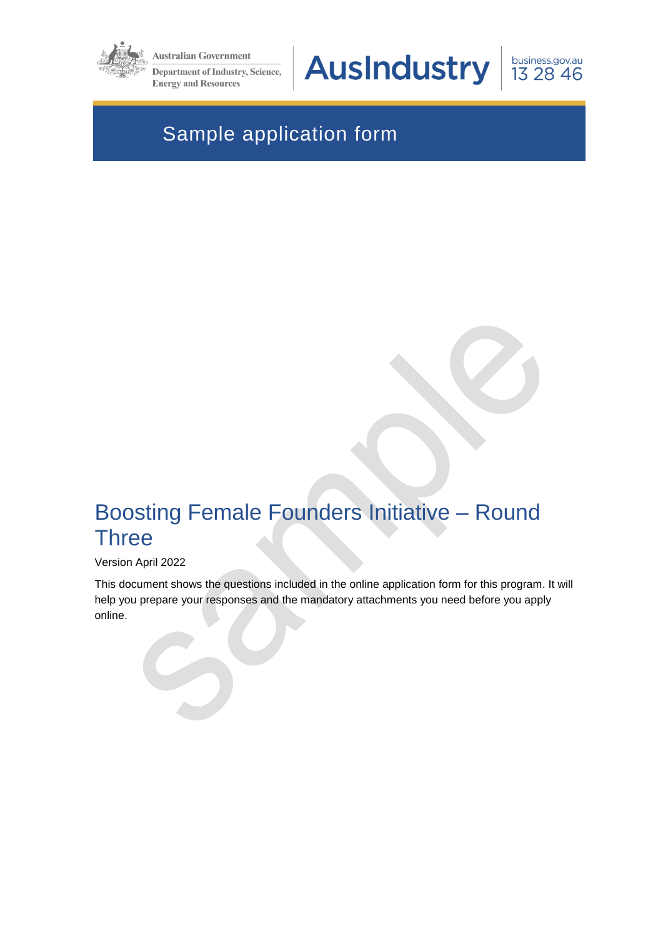

**Australian Government** 

**Department of Industry, Science, Energy and Resources** 

**AusIndustry** 

business.gov.au 13 28 46

# Sample application form

# Boosting Female Founders Initiative – Round **Three**

#### Version April 2022

This document shows the questions included in the online application form for this program. It will help you prepare your responses and the mandatory attachments you need before you apply online.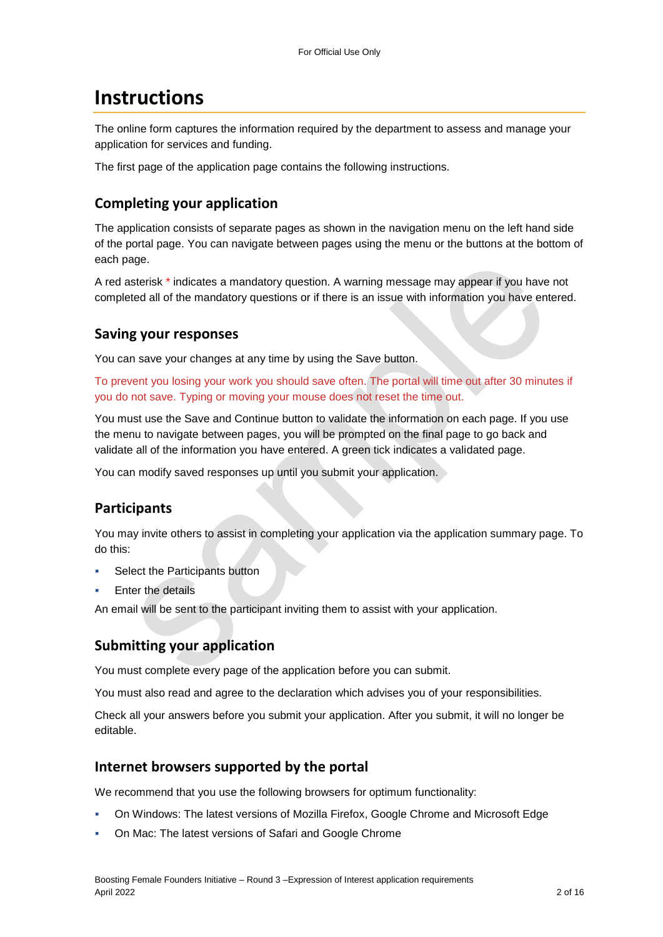## **Instructions**

The online form captures the information required by the department to assess and manage your application for services and funding.

The first page of the application page contains the following instructions.

## **Completing your application**

The application consists of separate pages as shown in the navigation menu on the left hand side of the portal page. You can navigate between pages using the menu or the buttons at the bottom of each page.

A red asterisk \* indicates a mandatory question. A warning message may appear if you have not completed all of the mandatory questions or if there is an issue with information you have entered.

### **Saving your responses**

You can save your changes at any time by using the Save button.

To prevent you losing your work you should save often. The portal will time out after 30 minutes if you do not save. Typing or moving your mouse does not reset the time out.

You must use the Save and Continue button to validate the information on each page. If you use the menu to navigate between pages, you will be prompted on the final page to go back and validate all of the information you have entered. A green tick indicates a validated page.

You can modify saved responses up until you submit your application.

## **Participants**

You may invite others to assist in completing your application via the application summary page. To do this:

- Select the Participants button
- Enter the details

An email will be sent to the participant inviting them to assist with your application.

### **Submitting your application**

You must complete every page of the application before you can submit.

You must also read and agree to the declaration which advises you of your responsibilities.

Check all your answers before you submit your application. After you submit, it will no longer be editable.

### **Internet browsers supported by the portal**

We recommend that you use the following browsers for optimum functionality:

- On Windows: The latest versions of Mozilla Firefox, Google Chrome and Microsoft Edge
- On Mac: The latest versions of Safari and Google Chrome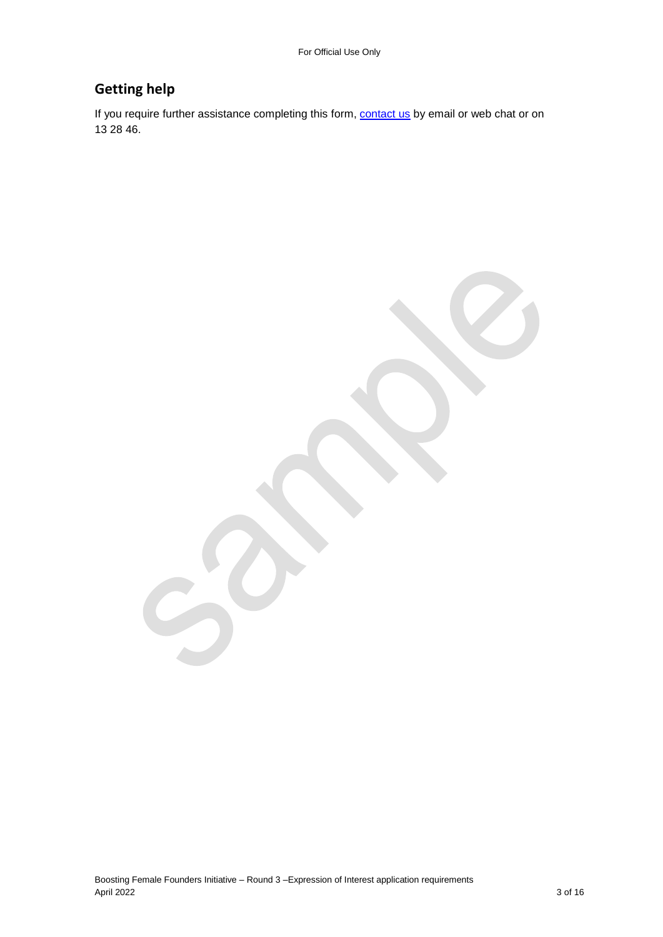## **Getting help**

If you require further assistance completing this form, **contact us** by email or web chat or on 13 28 46.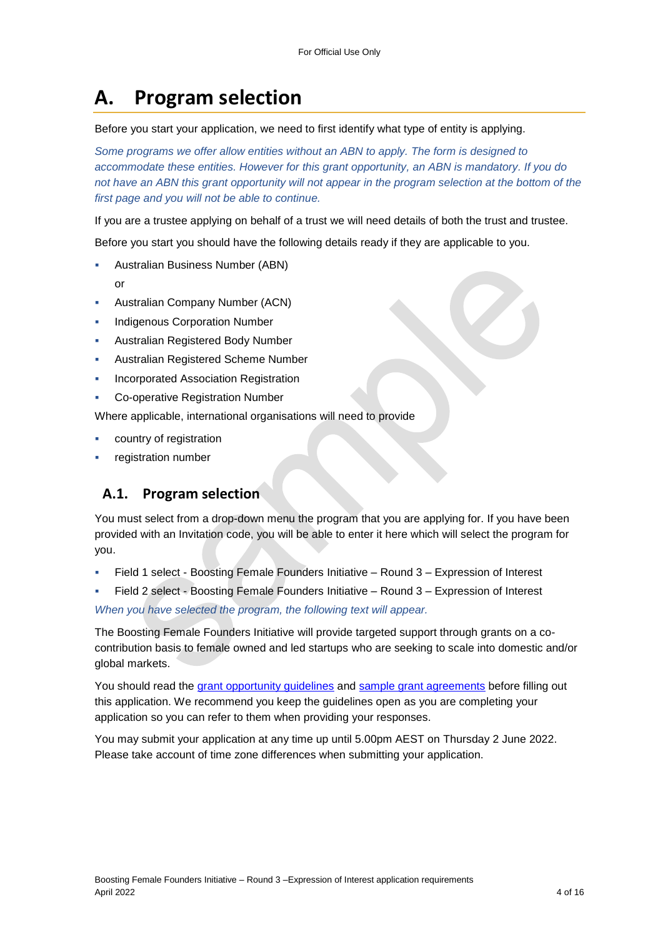# **A. Program selection**

#### Before you start your application, we need to first identify what type of entity is applying.

*Some programs we offer allow entities without an ABN to apply. The form is designed to accommodate these entities. However for this grant opportunity, an ABN is mandatory. If you do*  not have an ABN this grant opportunity will not appear in the program selection at the bottom of the *first page and you will not be able to continue.*

If you are a trustee applying on behalf of a trust we will need details of both the trust and trustee.

Before you start you should have the following details ready if they are applicable to you.

- Australian Business Number (ABN)
	- or
- Australian Company Number (ACN)
- Indigenous Corporation Number
- Australian Registered Body Number
- Australian Registered Scheme Number
- Incorporated Association Registration
- **Co-operative Registration Number**

Where applicable, international organisations will need to provide

- country of registration
- registration number

## **A.1. Program selection**

You must select from a drop-down menu the program that you are applying for. If you have been provided with an Invitation code, you will be able to enter it here which will select the program for you.

- Field 1 select Boosting Female Founders Initiative Round 3 Expression of Interest
- Field 2 select Boosting Female Founders Initiative Round 3 Expression of Interest

*When you have selected the program, the following text will appear.*

The Boosting Female Founders Initiative will provide targeted support through grants on a cocontribution basis to female owned and led startups who are seeking to scale into domestic and/or global markets.

You should read the grant opportunity guidelines and sample grant agreements before filling out this application. We recommend you keep the guidelines open as you are completing your application so you can refer to them when providing your responses.

You may submit your application at any time up until 5.00pm AEST on Thursday 2 June 2022. Please take account of time zone differences when submitting your application.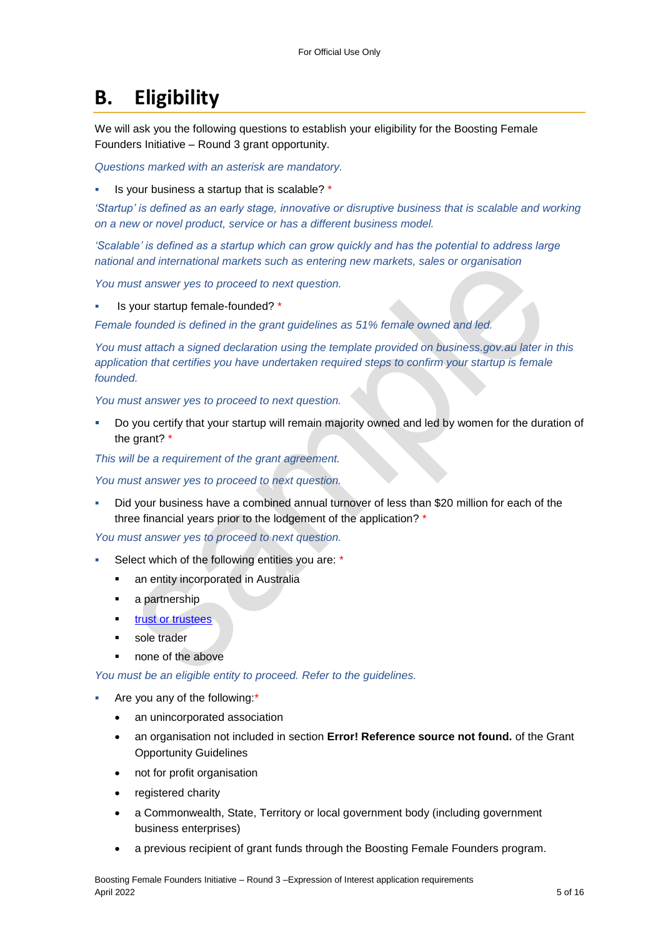# **B. Eligibility**

We will ask you the following questions to establish your eligibility for the Boosting Female Founders Initiative – Round 3 grant opportunity.

*Questions marked with an asterisk are mandatory.* 

Is your business a startup that is scalable? \*

*'Startup' is defined as an early stage, innovative or disruptive business that is scalable and working on a new or novel product, service or has a different business model.*

*'Scalable' is defined as a startup which can grow quickly and has the potential to address large national and international markets such as entering new markets, sales or organisation*

*You must answer yes to proceed to next question.*

Is your startup female-founded? \*

*Female founded is defined in the grant guidelines as 51% female owned and led.* 

*You must attach a signed declaration using the template provided on business.gov.au later in this*  application that certifies you have undertaken required steps to confirm your startup is female *founded.*

*You must answer yes to proceed to next question.*

 Do you certify that your startup will remain majority owned and led by women for the duration of the grant? \*

*This will be a requirement of the grant agreement.*

*You must answer yes to proceed to next question.*

 Did your business have a combined annual turnover of less than \$20 million for each of the three financial years prior to the lodgement of the application? \*

*You must answer yes to proceed to next question.*

- Select which of the following entities you are: \*
	- an entity incorporated in Australia
	- **a** partnership
	- trust or trustees
	- sole trader
	- **none of the above**

*You must be an eligible entity to proceed. Refer to the guidelines.*

- Are you any of the following:\*
	- an unincorporated association
	- an organisation not included in section **Error! Reference source not found.** of the Grant Opportunity Guidelines
	- not for profit organisation
	- registered charity
	- a Commonwealth, State, Territory or local government body (including government business enterprises)
	- a previous recipient of grant funds through the Boosting Female Founders program.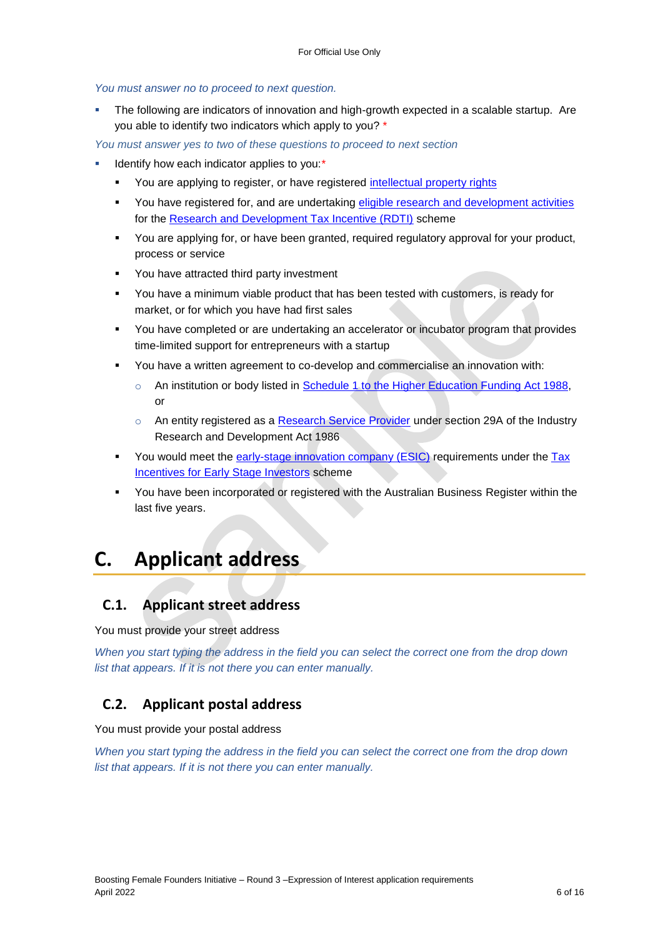*You must answer no to proceed to next question.*

 The following are indicators of innovation and high-growth expected in a scalable startup. Are you able to identify two indicators which apply to you? \*

*You must answer yes to two of these questions to proceed to next section*

- Identify how each indicator applies to you:\*
	- You are applying to register, or have registered [intellectual property rights](https://business.gov.au/planning/protect-your-brand-idea-or-creation/intellectual-property#:~:text=The%20most%20common%20types%20of%20IP%20rights%20are%3A,circuits%20used%20in%20computer-generated%20designs%20More%20items...%20)
	- **•** You have registered for, and are undertaking [eligible research and development activities](https://business.gov.au/grants-and-programs/research-and-development-tax-incentive/assess-if-your-randd-activities-are-eligible) for the [Research and Development Tax Incentive \(RDTI\)](https://business.gov.au/Grants-and-Programs/Research-and-Development-Tax-Incentive) scheme
	- You are applying for, or have been granted, required regulatory approval for your product, process or service
	- **•** You have attracted third party investment
	- You have a minimum viable product that has been tested with customers, is ready for market, or for which you have had first sales
	- You have completed or are undertaking an accelerator or incubator program that provides time-limited support for entrepreneurs with a startup
	- You have a written agreement to co-develop and commercialise an innovation with:
		- o An institution or body listed in [Schedule 1 to the Higher Education Funding Act 1988,](https://www.legislation.gov.au/Latest/C2016C00171) or
		- o An entity registered as a [Research Service Provider](https://business.gov.au/grants-and-programs/research-and-development-tax-incentive/getting-help-from-a-research-service-provider) under section 29A of the Industry Research and Development Act 1986
	- You would meet the [early-stage innovation company \(ESIC\)](https://www.ato.gov.au/Business/Tax-incentives-for-innovation/In-detail/Tax-incentives-for-early-stage-investors/?page=4#Earlystagetestrequirements) requirements under the Tax [Incentives for Early Stage Investors](https://www.ato.gov.au/Business/Tax-incentives-for-innovation/In-detail/Tax-incentives-for-early-stage-investors/?page=4) scheme
	- You have been incorporated or registered with the Australian Business Register within the last five years.

# **C. Applicant address**

## **C.1. Applicant street address**

You must provide your street address

*When you start typing the address in the field you can select the correct one from the drop down list that appears. If it is not there you can enter manually.*

## **C.2. Applicant postal address**

You must provide your postal address

*When you start typing the address in the field you can select the correct one from the drop down list that appears. If it is not there you can enter manually.*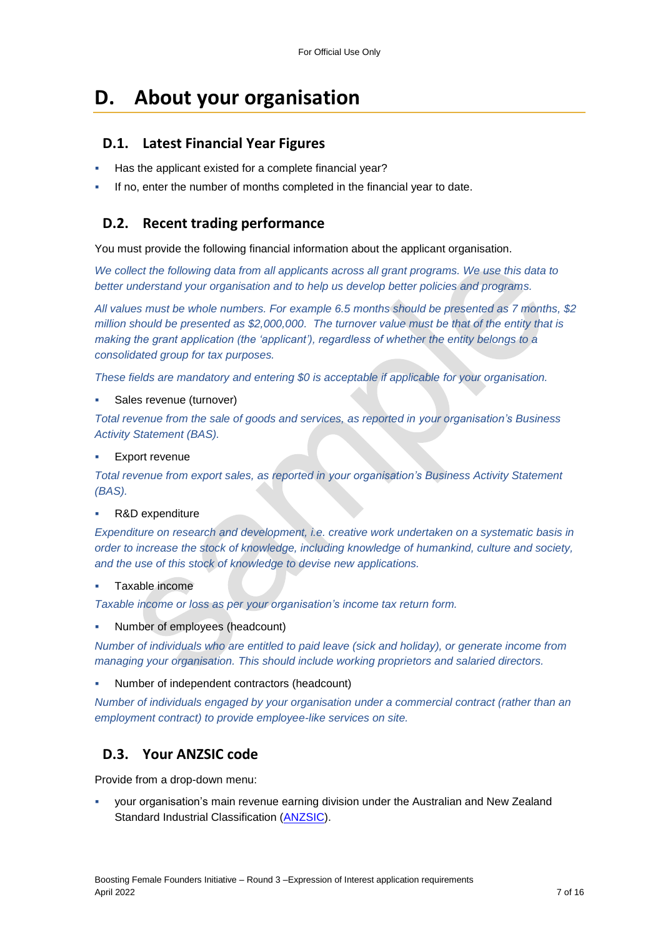# **D. About your organisation**

## **D.1. Latest Financial Year Figures**

- Has the applicant existed for a complete financial year?
- If no, enter the number of months completed in the financial year to date.

## **D.2. Recent trading performance**

You must provide the following financial information about the applicant organisation.

*We collect the following data from all applicants across all grant programs. We use this data to better understand your organisation and to help us develop better policies and programs.*

*All values must be whole numbers. For example 6.5 months should be presented as 7 months, \$2 million should be presented as \$2,000,000. The turnover value must be that of the entity that is making the grant application (the 'applicant'), regardless of whether the entity belongs to a consolidated group for tax purposes.*

*These fields are mandatory and entering \$0 is acceptable if applicable for your organisation.*

Sales revenue (turnover)

*Total revenue from the sale of goods and services, as reported in your organisation's Business Activity Statement (BAS).*

Export revenue

*Total revenue from export sales, as reported in your organisation's Business Activity Statement (BAS).*

#### R&D expenditure

*Expenditure on research and development, i.e. creative work undertaken on a systematic basis in order to increase the stock of knowledge, including knowledge of humankind, culture and society, and the use of this stock of knowledge to devise new applications.*

Taxable income

*Taxable income or loss as per your organisation's income tax return form.*

Number of employees (headcount)

*Number of individuals who are entitled to paid leave (sick and holiday), or generate income from managing your organisation. This should include working proprietors and salaried directors.*

Number of independent contractors (headcount)

*Number of individuals engaged by your organisation under a commercial contract (rather than an employment contract) to provide employee-like services on site.*

## **D.3. Your ANZSIC code**

Provide from a drop-down menu:

 your organisation's main revenue earning division under the Australian and New Zealand Standard Industrial Classification [\(ANZSIC\)](https://www.abs.gov.au/ausstats/abs@.nsf/0/20C5B5A4F46DF95BCA25711F00146D75?opendocument).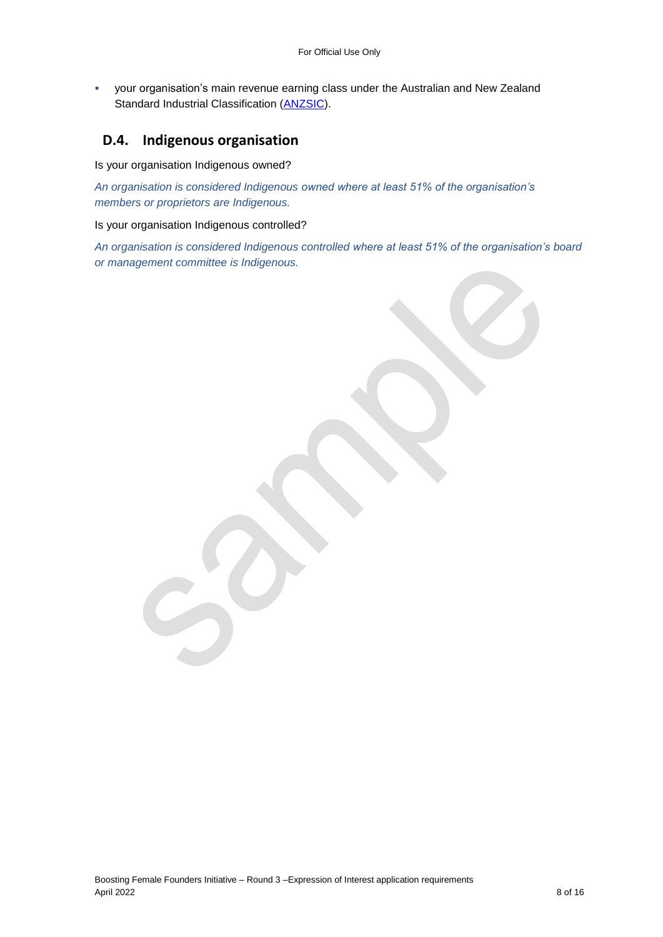your organisation's main revenue earning class under the Australian and New Zealand Standard Industrial Classification [\(ANZSIC\)](https://www.abs.gov.au/ausstats/abs@.nsf/0/20C5B5A4F46DF95BCA25711F00146D75?opendocument).

## **D.4. Indigenous organisation**

Is your organisation Indigenous owned?

*An organisation is considered Indigenous owned where at least 51% of the organisation's members or proprietors are Indigenous.*

#### Is your organisation Indigenous controlled?

*An organisation is considered Indigenous controlled where at least 51% of the organisation's board or management committee is Indigenous.*

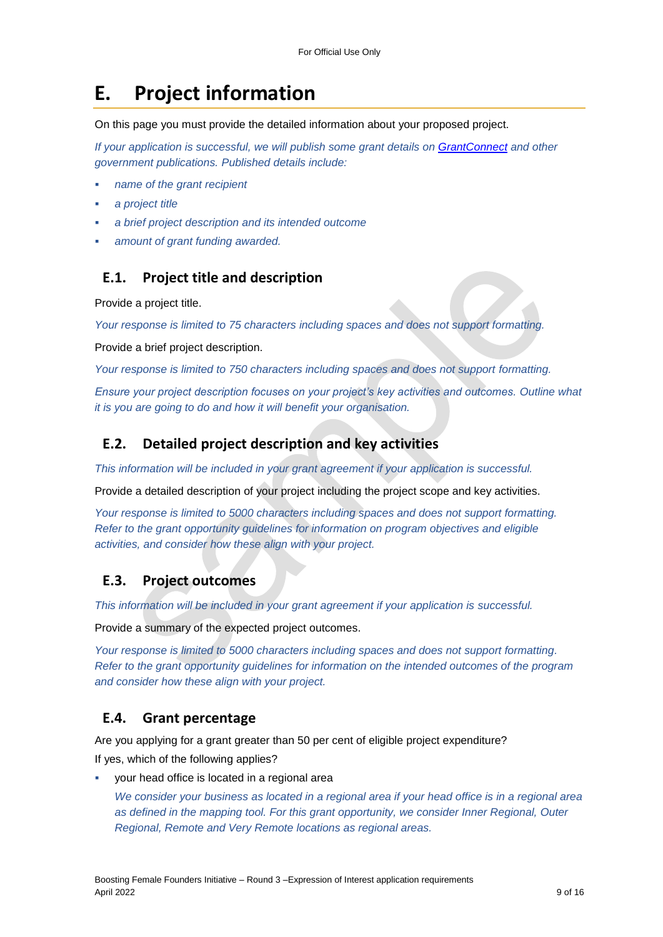## **E. Project information**

On this page you must provide the detailed information about your proposed project.

*If your application is successful, we will publish some grant details on GrantConnect and other government publications. Published details include:*

- *name of the grant recipient*
- *a project title*
- *a brief project description and its intended outcome*
- *amount of grant funding awarded.*

### **E.1. Project title and description**

Provide a project title.

*Your response is limited to 75 characters including spaces and does not support formatting.* 

Provide a brief project description.

*Your response is limited to 750 characters including spaces and does not support formatting.* 

*Ensure your project description focuses on your project's key activities and outcomes. Outline what it is you are going to do and how it will benefit your organisation.*

### **E.2. Detailed project description and key activities**

*This information will be included in your grant agreement if your application is successful.*

Provide a detailed description of your project including the project scope and key activities.

*Your response is limited to 5000 characters including spaces and does not support formatting. Refer to the grant opportunity guidelines for information on program objectives and eligible activities, and consider how these align with your project.* 

### **E.3. Project outcomes**

*This information will be included in your grant agreement if your application is successful.*

Provide a summary of the expected project outcomes.

*Your response is limited to 5000 characters including spaces and does not support formatting. Refer to the grant opportunity guidelines for information on the intended outcomes of the program and consider how these align with your project.*

### **E.4. Grant percentage**

Are you applying for a grant greater than 50 per cent of eligible project expenditure? If yes, which of the following applies?

your head office is located in a regional area

*We consider your business as located in a regional area if your head office is in a regional area as defined in the [mapping tool.](https://www.health.gov.au/resources/apps-and-tools/health-workforce-locator/health-workforce-locator) For this grant opportunity, we consider Inner Regional, Outer Regional, Remote and Very Remote locations as regional areas.*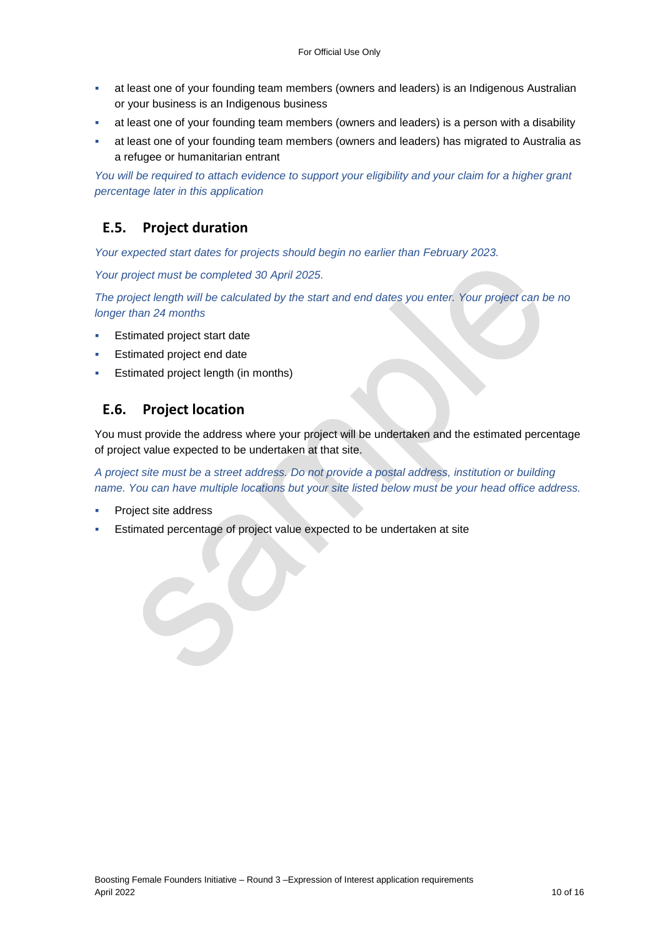- at least one of your founding team members (owners and leaders) is an Indigenous Australian or your business is an Indigenous business
- at least one of your founding team members (owners and leaders) is a person with a disability
- at least one of your founding team members (owners and leaders) has migrated to Australia as a refugee or humanitarian entrant

*You will be required to attach evidence to support your eligibility and your claim for a higher grant percentage later in this application*

### **E.5. Project duration**

*Your expected start dates for projects should begin no earlier than February 2023.*

*Your project must be completed 30 April 2025.*

*The project length will be calculated by the start and end dates you enter. Your project can be no longer than 24 months*

- Estimated project start date
- Estimated project end date
- Estimated project length (in months)

### **E.6. Project location**

You must provide the address where your project will be undertaken and the estimated percentage of project value expected to be undertaken at that site.

*A project site must be a street address. Do not provide a postal address, institution or building name. You can have multiple locations but your site listed below must be your head office address.*

- Project site address
- Estimated percentage of project value expected to be undertaken at site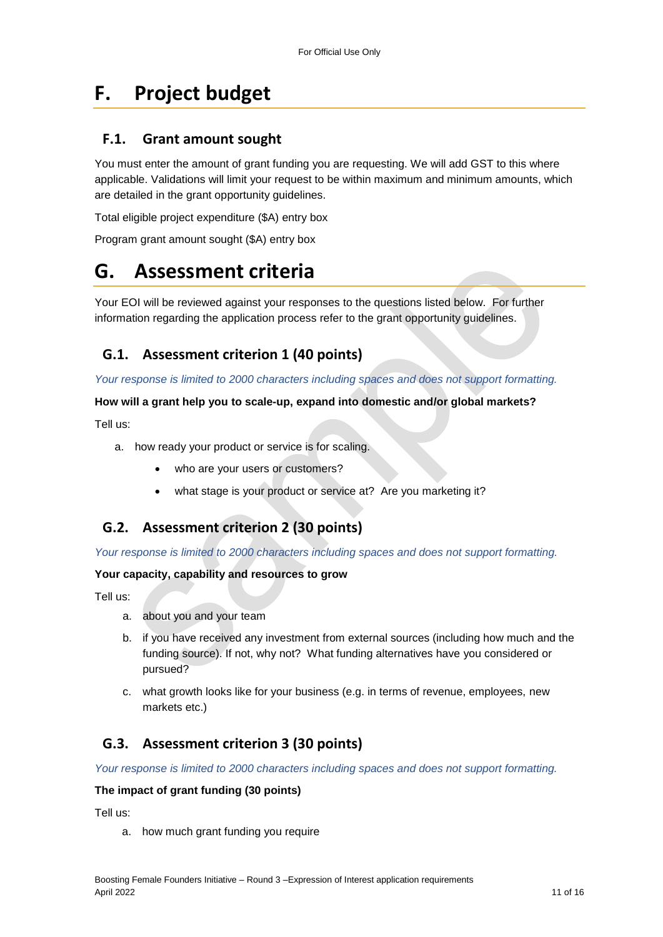# **F. Project budget**

## **F.1. Grant amount sought**

You must enter the amount of grant funding you are requesting. We will add GST to this where applicable. Validations will limit your request to be within maximum and minimum amounts, which are detailed in the grant opportunity guidelines.

Total eligible project expenditure (\$A) entry box

Program grant amount sought (\$A) entry box

# **G. Assessment criteria**

Your EOI will be reviewed against your responses to the questions listed below. For further information regarding the application process refer to the grant opportunity guidelines.

## **G.1. Assessment criterion 1 (40 points)**

*Your response is limited to 2000 characters including spaces and does not support formatting.* 

#### **How will a grant help you to scale-up, expand into domestic and/or global markets?**

Tell us:

- a. how ready your product or service is for scaling.
	- who are your users or customers?
	- what stage is your product or service at? Are you marketing it?

## **G.2. Assessment criterion 2 (30 points)**

#### *Your response is limited to 2000 characters including spaces and does not support formatting.*

#### **Your capacity, capability and resources to grow**

Tell us:

- a. about you and your team
- b. if you have received any investment from external sources (including how much and the funding source). If not, why not? What funding alternatives have you considered or pursued?
- c. what growth looks like for your business (e.g. in terms of revenue, employees, new markets etc.)

## **G.3. Assessment criterion 3 (30 points)**

*Your response is limited to 2000 characters including spaces and does not support formatting.* 

#### **The impact of grant funding (30 points)**

Tell us:

a. how much grant funding you require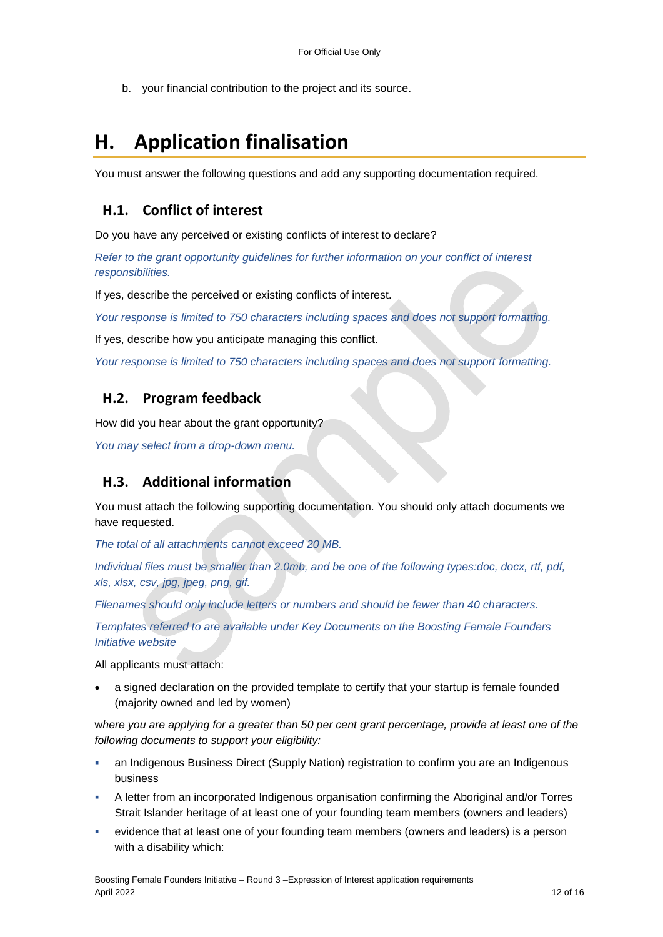b. your financial contribution to the project and its source.

## **H. Application finalisation**

You must answer the following questions and add any supporting documentation required.

## **H.1. Conflict of interest**

Do you have any perceived or existing conflicts of interest to declare?

*Refer to the grant opportunity guidelines for further information on your conflict of interest responsibilities.*

If yes, describe the perceived or existing conflicts of interest.

*Your response is limited to 750 characters including spaces and does not support formatting.*

If yes, describe how you anticipate managing this conflict.

*Your response is limited to 750 characters including spaces and does not support formatting.*

## **H.2. Program feedback**

How did you hear about the grant opportunity?

*You may select from a drop-down menu.* 

## **H.3. Additional information**

You must attach the following supporting documentation. You should only attach documents we have requested.

*The total of all attachments cannot exceed 20 MB.* 

*Individual files must be smaller than 2.0mb, and be one of the following types:doc, docx, rtf, pdf, xls, xlsx, csv, jpg, jpeg, png, gif.*

*Filenames should only include letters or numbers and should be fewer than 40 characters.* 

*Templates referred to are available under Key Documents on the Boosting Female Founders Initiative website*

All applicants must attach:

 a signed declaration on the provided template to certify that your startup is female founded (majority owned and led by women)

w*here you are applying for a greater than 50 per cent grant percentage, provide at least one of the following documents to support your eligibility:*

- an Indigenous Business Direct (Supply Nation) registration to confirm you are an Indigenous business
- A letter from an incorporated Indigenous organisation confirming the Aboriginal and/or Torres Strait Islander heritage of at least one of your founding team members (owners and leaders)
- evidence that at least one of your founding team members (owners and leaders) is a person with a disability which: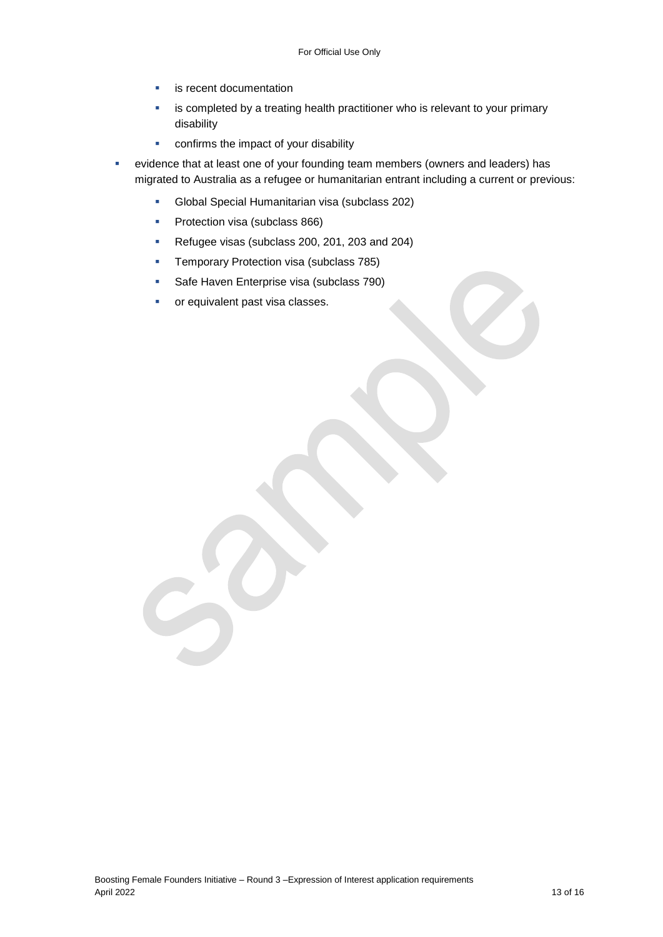- **E** is recent documentation
- **EXED** is completed by a treating health practitioner who is relevant to your primary disability
- **•** confirms the impact of your disability
- evidence that at least one of your founding team members (owners and leaders) has migrated to Australia as a refugee or humanitarian entrant including a current or previous:
	- Global Special Humanitarian visa (subclass 202)
	- **Protection visa (subclass 866)**
	- Refugee visas (subclass 200, 201, 203 and 204)
	- **Temporary Protection visa (subclass 785)**
	- Safe Haven Enterprise visa (subclass 790)
	- **•** or equivalent past visa classes.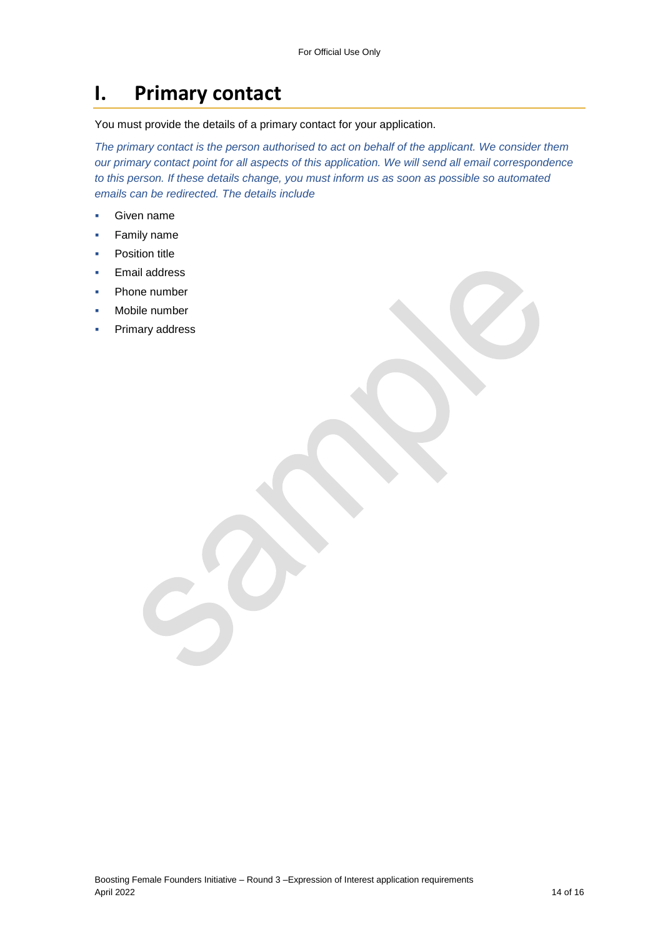## **I. Primary contact**

You must provide the details of a primary contact for your application.

*The primary contact is the person authorised to act on behalf of the applicant. We consider them our primary contact point for all aspects of this application. We will send all email correspondence to this person. If these details change, you must inform us as soon as possible so automated emails can be redirected. The details include*

- Given name
- **Family name**
- Position title
- Email address
- Phone number
- Mobile number
- Primary address

Boosting Female Founders Initiative – Round 3 –Expression of Interest application requirements April 2022 14 of 16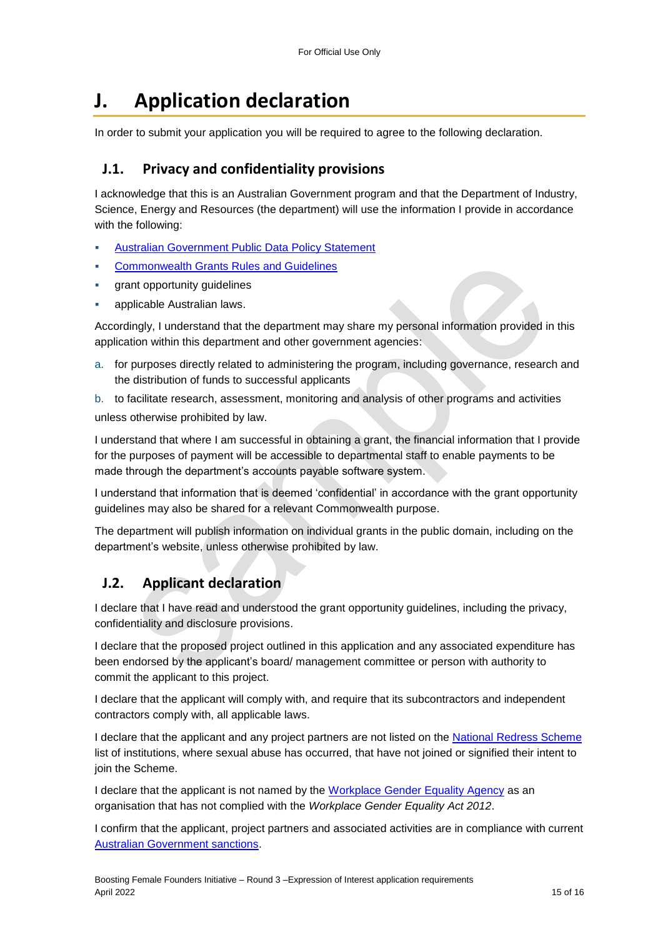# **J. Application declaration**

In order to submit your application you will be required to agree to the following declaration.

## **J.1. Privacy and confidentiality provisions**

I acknowledge that this is an Australian Government program and that the Department of Industry, Science, Energy and Resources (the department) will use the information I provide in accordance with the following:

- [Australian Government Public Data Policy Statement](https://www.pmc.gov.au/sites/default/files/publications/aust_govt_public_data_policy_statement_1.pdf)
- [Commonwealth Grants Rules and Guidelines](https://www.finance.gov.au/government/commonwealth-grants/commonwealth-grants-rules-guidelines)
- grant opportunity guidelines
- applicable Australian laws.

Accordingly, I understand that the department may share my personal information provided in this application within this department and other government agencies:

a. for purposes directly related to administering the program, including governance, research and the distribution of funds to successful applicants

b. to facilitate research, assessment, monitoring and analysis of other programs and activities unless otherwise prohibited by law.

I understand that where I am successful in obtaining a grant, the financial information that I provide for the purposes of payment will be accessible to departmental staff to enable payments to be made through the department's accounts payable software system.

I understand that information that is deemed 'confidential' in accordance with the grant opportunity guidelines may also be shared for a relevant Commonwealth purpose.

The department will publish information on individual grants in the public domain, including on the department's website, unless otherwise prohibited by law.

## **J.2. Applicant declaration**

I declare that I have read and understood the grant opportunity guidelines, including the privacy, confidentiality and disclosure provisions.

I declare that the proposed project outlined in this application and any associated expenditure has been endorsed by the applicant's board/ management committee or person with authority to commit the applicant to this project.

I declare that the applicant will comply with, and require that its subcontractors and independent contractors comply with, all applicable laws.

I declare that the applicant and any project partners are not listed on the [National Redress Scheme](https://www.nationalredress.gov.au/institutions/institutions-have-not-yet-joined) list of institutions, where sexual abuse has occurred, that have not joined or signified their intent to join the Scheme.

I declare that the applicant is not named by the [Workplace Gender Equality Agency](https://www.wgea.gov.au/what-we-do/compliance-reporting/non-compliant-list) as an organisation that has not complied with the *Workplace Gender Equality Act 2012*.

I confirm that the applicant, project partners and associated activities are in compliance with current [Australian Government sanctions.](https://www.dfat.gov.au/international-relations/security/sanctions)